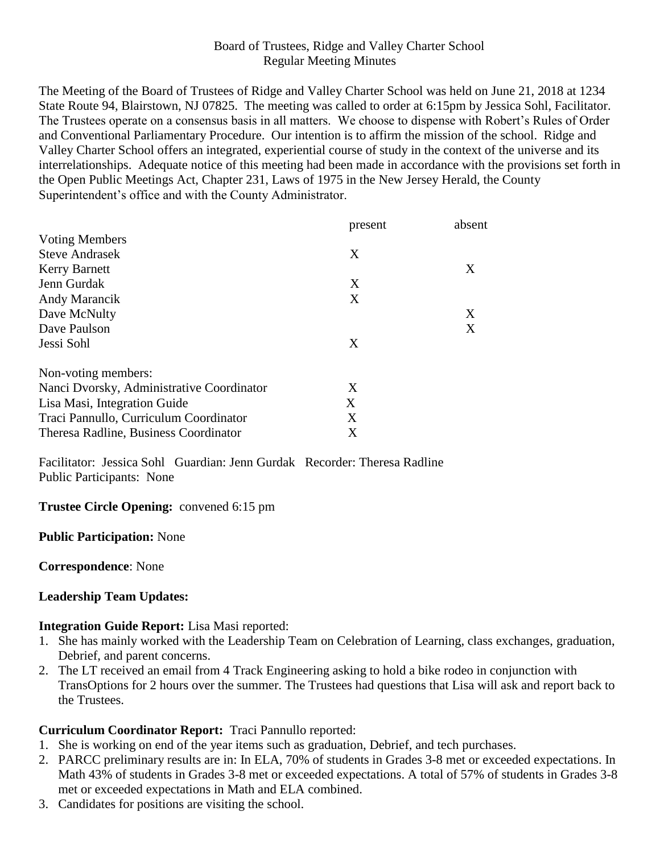## Board of Trustees, Ridge and Valley Charter School Regular Meeting Minutes

The Meeting of the Board of Trustees of Ridge and Valley Charter School was held on June 21, 2018 at 1234 State Route 94, Blairstown, NJ 07825. The meeting was called to order at 6:15pm by Jessica Sohl, Facilitator. The Trustees operate on a consensus basis in all matters. We choose to dispense with Robert's Rules of Order and Conventional Parliamentary Procedure. Our intention is to affirm the mission of the school. Ridge and Valley Charter School offers an integrated, experiential course of study in the context of the universe and its interrelationships. Adequate notice of this meeting had been made in accordance with the provisions set forth in the Open Public Meetings Act, Chapter 231, Laws of 1975 in the New Jersey Herald, the County Superintendent's office and with the County Administrator.

|                                           | present | absent |
|-------------------------------------------|---------|--------|
| <b>Voting Members</b>                     |         |        |
| <b>Steve Andrasek</b>                     | X       |        |
| <b>Kerry Barnett</b>                      |         | X      |
| Jenn Gurdak                               | X       |        |
| Andy Marancik                             | X       |        |
| Dave McNulty                              |         | X      |
| Dave Paulson                              |         | X      |
| Jessi Sohl                                | X       |        |
| Non-voting members:                       |         |        |
| Nanci Dvorsky, Administrative Coordinator | X       |        |
| Lisa Masi, Integration Guide              | X       |        |
| Traci Pannullo, Curriculum Coordinator    | X       |        |
| Theresa Radline, Business Coordinator     | X       |        |

Facilitator: Jessica Sohl Guardian: Jenn Gurdak Recorder: Theresa Radline Public Participants: None

### **Trustee Circle Opening:** convened 6:15 pm

#### **Public Participation:** None

**Correspondence**: None

### **Leadership Team Updates:**

#### **Integration Guide Report:** Lisa Masi reported:

- 1. She has mainly worked with the Leadership Team on Celebration of Learning, class exchanges, graduation, Debrief, and parent concerns.
- 2. The LT received an email from 4 Track Engineering asking to hold a bike rodeo in conjunction with TransOptions for 2 hours over the summer. The Trustees had questions that Lisa will ask and report back to the Trustees.

### **Curriculum Coordinator Report:** Traci Pannullo reported:

- 1. She is working on end of the year items such as graduation, Debrief, and tech purchases.
- 2. PARCC preliminary results are in: In ELA, 70% of students in Grades 3-8 met or exceeded expectations. In Math 43% of students in Grades 3-8 met or exceeded expectations. A total of 57% of students in Grades 3-8 met or exceeded expectations in Math and ELA combined.
- 3. Candidates for positions are visiting the school.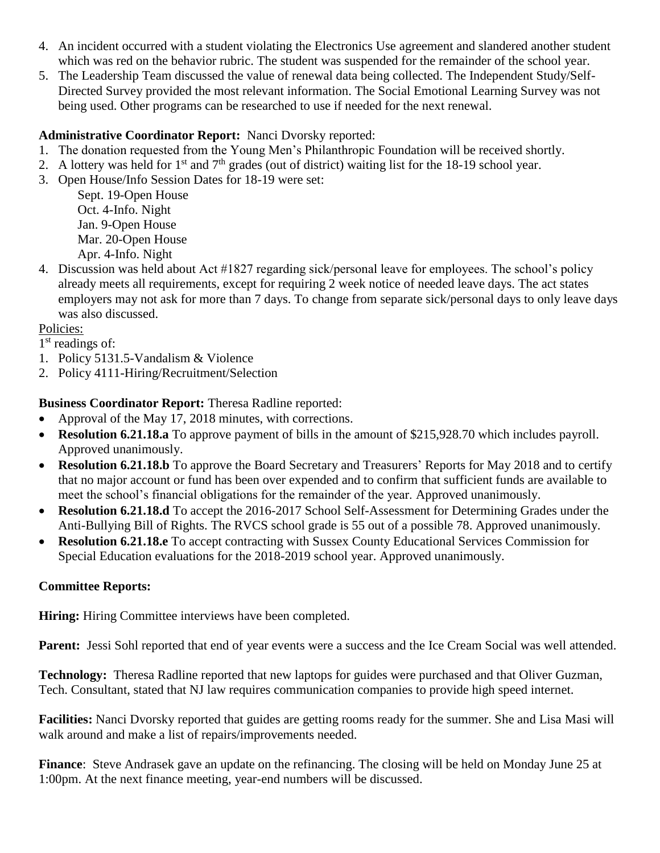- 4. An incident occurred with a student violating the Electronics Use agreement and slandered another student which was red on the behavior rubric. The student was suspended for the remainder of the school year.
- 5. The Leadership Team discussed the value of renewal data being collected. The Independent Study/Self-Directed Survey provided the most relevant information. The Social Emotional Learning Survey was not being used. Other programs can be researched to use if needed for the next renewal.

## **Administrative Coordinator Report:** Nanci Dvorsky reported:

- 1. The donation requested from the Young Men's Philanthropic Foundation will be received shortly.
- 2. A lottery was held for  $1<sup>st</sup>$  and  $7<sup>th</sup>$  grades (out of district) waiting list for the 18-19 school year.
- 3. Open House/Info Session Dates for 18-19 were set:

Sept. 19-Open House Oct. 4-Info. Night Jan. 9-Open House Mar. 20-Open House Apr. 4-Info. Night

4. Discussion was held about Act #1827 regarding sick/personal leave for employees. The school's policy already meets all requirements, except for requiring 2 week notice of needed leave days. The act states employers may not ask for more than 7 days. To change from separate sick/personal days to only leave days was also discussed.

# Policies:

- 1<sup>st</sup> readings of:
- 1. Policy 5131.5-Vandalism & Violence
- 2. Policy 4111-Hiring/Recruitment/Selection

# **Business Coordinator Report:** Theresa Radline reported:

- Approval of the May 17, 2018 minutes, with corrections.
- **Resolution 6.21.18.a** To approve payment of bills in the amount of \$215,928.70 which includes payroll. Approved unanimously.
- **Resolution 6.21.18.b** To approve the Board Secretary and Treasurers' Reports for May 2018 and to certify that no major account or fund has been over expended and to confirm that sufficient funds are available to meet the school's financial obligations for the remainder of the year. Approved unanimously.
- **Resolution 6.21.18.d** To accept the 2016-2017 School Self-Assessment for Determining Grades under the Anti-Bullying Bill of Rights. The RVCS school grade is 55 out of a possible 78. Approved unanimously.
- **Resolution 6.21.18.e** To accept contracting with Sussex County Educational Services Commission for Special Education evaluations for the 2018-2019 school year. Approved unanimously.

## **Committee Reports:**

**Hiring:** Hiring Committee interviews have been completed.

Parent: Jessi Sohl reported that end of year events were a success and the Ice Cream Social was well attended.

**Technology:** Theresa Radline reported that new laptops for guides were purchased and that Oliver Guzman, Tech. Consultant, stated that NJ law requires communication companies to provide high speed internet.

**Facilities:** Nanci Dvorsky reported that guides are getting rooms ready for the summer. She and Lisa Masi will walk around and make a list of repairs/improvements needed.

**Finance**: Steve Andrasek gave an update on the refinancing. The closing will be held on Monday June 25 at 1:00pm. At the next finance meeting, year-end numbers will be discussed.